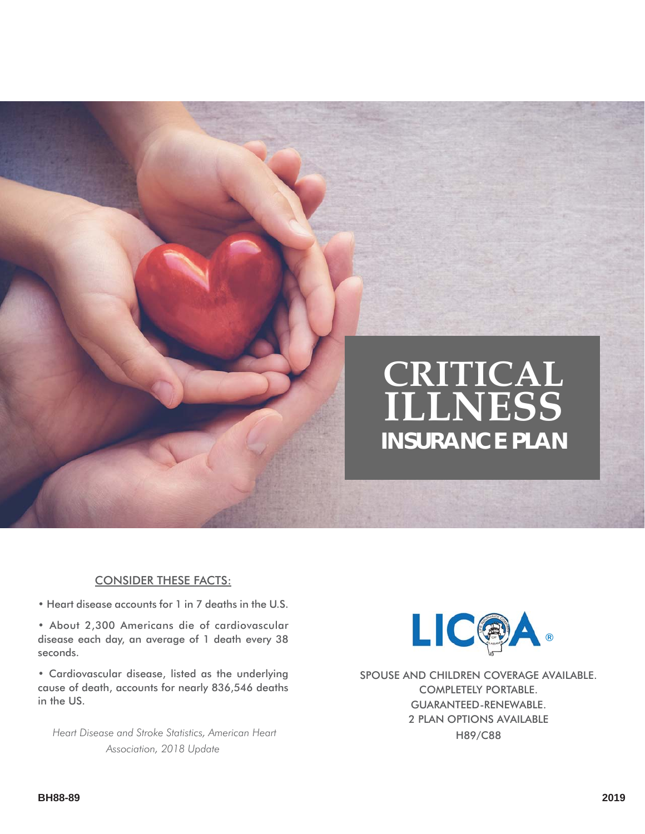# **CRITICAL ILLNESS INSURANCE PLAN**

#### CONSIDER THESE FACTS:

• Heart disease accounts for 1 in 7 deaths in the U.S.

• About 2,300 Americans die of cardiovascular disease each day, an average of 1 death every 38 seconds.

• Cardiovascular disease, listed as the underlying cause of death, accounts for nearly 836,546 deaths in the US.

 *Heart Disease and Stroke Statistics, American Heart Association, 2018 Update*



SPOUSE AND CHILDREN COVERAGE AVAILABLE. COMPLETELY PORTABLE. GUARANTEED-RENEWABLE. 2 PLAN OPTIONS AVAILABLE H89/C88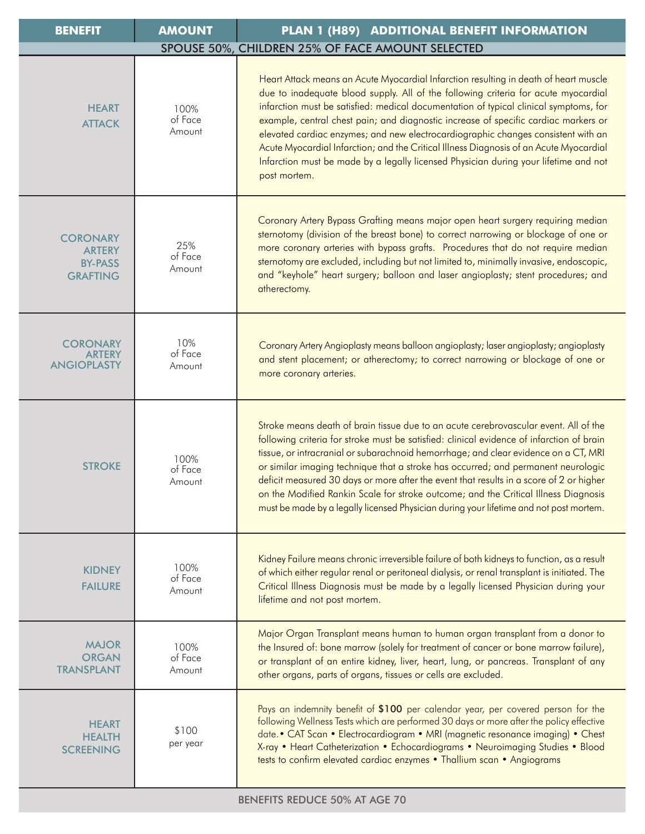| <b>BENEFIT</b>                                                        | <b>AMOUNT</b>             | PLAN 1 (H89) ADDITIONAL BENEFIT INFORMATION                                                                                                                                                                                                                                                                                                                                                                                                                                                                                                                                                                                                       |
|-----------------------------------------------------------------------|---------------------------|---------------------------------------------------------------------------------------------------------------------------------------------------------------------------------------------------------------------------------------------------------------------------------------------------------------------------------------------------------------------------------------------------------------------------------------------------------------------------------------------------------------------------------------------------------------------------------------------------------------------------------------------------|
|                                                                       |                           | SPOUSE 50%, CHILDREN 25% OF FACE AMOUNT SELECTED                                                                                                                                                                                                                                                                                                                                                                                                                                                                                                                                                                                                  |
| <b>HEART</b><br><b>ATTACK</b>                                         | 100%<br>of Face<br>Amount | Heart Attack means an Acute Myocardial Infarction resulting in death of heart muscle<br>due to inadequate blood supply. All of the following criteria for acute myocardial<br>infarction must be satisfied: medical documentation of typical clinical symptoms, for<br>example, central chest pain; and diagnostic increase of specific cardiac markers or<br>elevated cardiac enzymes; and new electrocardiographic changes consistent with an<br>Acute Myocardial Infarction; and the Critical Illness Diagnosis of an Acute Myocardial<br>Infarction must be made by a legally licensed Physician during your lifetime and not<br>post mortem. |
| <b>CORONARY</b><br><b>ARTERY</b><br><b>BY-PASS</b><br><b>GRAFTING</b> | 25%<br>of Face<br>Amount  | Coronary Artery Bypass Grafting means major open heart surgery requiring median<br>sternotomy (division of the breast bone) to correct narrowing or blockage of one or<br>more coronary arteries with bypass grafts. Procedures that do not require median<br>sternotomy are excluded, including but not limited to, minimally invasive, endoscopic,<br>and "keyhole" heart surgery; balloon and laser angioplasty; stent procedures; and<br>atherectomy.                                                                                                                                                                                         |
| <b>CORONARY</b><br><b>ARTERY</b><br><b>ANGIOPLASTY</b>                | 10%<br>of Face<br>Amount  | Coronary Artery Angioplasty means balloon angioplasty; laser angioplasty; angioplasty<br>and stent placement; or atherectomy; to correct narrowing or blockage of one or<br>more coronary arteries.                                                                                                                                                                                                                                                                                                                                                                                                                                               |
| <b>STROKE</b>                                                         | 100%<br>of Face<br>Amount | Stroke means death of brain tissue due to an acute cerebrovascular event. All of the<br>following criteria for stroke must be satisfied: clinical evidence of infarction of brain<br>tissue, or intracranial or subarachnoid hemorrhage; and clear evidence on a CT, MRI<br>or similar imaging technique that a stroke has occurred; and permanent neurologic<br>deficit measured 30 days or more after the event that results in a score of 2 or higher<br>on the Modified Rankin Scale for stroke outcome; and the Critical Illness Diagnosis<br>must be made by a legally licensed Physician during your lifetime and not post mortem.         |
| <b>KIDNEY</b><br><b>FAILURE</b>                                       | 100%<br>of Face<br>Amount | Kidney Failure means chronic irreversible failure of both kidneys to function, as a result<br>of which either regular renal or peritoneal dialysis, or renal transplant is initiated. The<br>Critical Illness Diagnosis must be made by a legally licensed Physician during your<br>lifetime and not post mortem.                                                                                                                                                                                                                                                                                                                                 |
| <b>MAJOR</b><br><b>ORGAN</b><br><b>TRANSPLANT</b>                     | 100%<br>of Face<br>Amount | Major Organ Transplant means human to human organ transplant from a donor to<br>the Insured of: bone marrow (solely for treatment of cancer or bone marrow failure),<br>or transplant of an entire kidney, liver, heart, lung, or pancreas. Transplant of any<br>other organs, parts of organs, tissues or cells are excluded.                                                                                                                                                                                                                                                                                                                    |
| <b>HEART</b><br><b>HEALTH</b><br><b>SCREENING</b>                     | \$100<br>per year         | Pays an indemnity benefit of \$100 per calendar year, per covered person for the<br>following Wellness Tests which are performed 30 days or more after the policy effective<br>date. • CAT Scan • Electrocardiogram • MRI (magnetic resonance imaging) • Chest<br>X-ray • Heart Catheterization • Echocardiograms • Neuroimaging Studies • Blood<br>tests to confirm elevated cardiac enzymes . Thallium scan . Angiograms                                                                                                                                                                                                                        |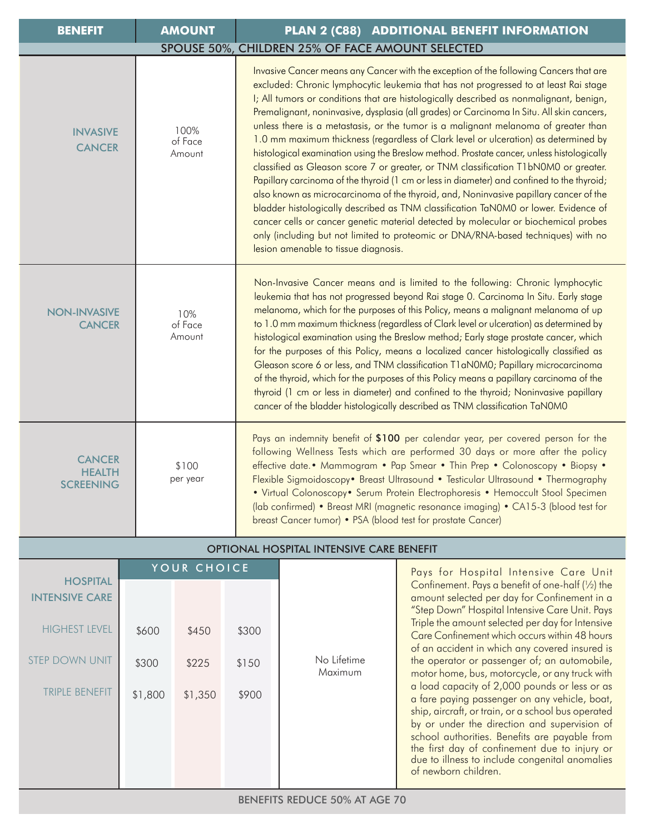| <b>BENEFIT</b>                                                                                  |             | <b>AMOUNT</b><br>PLAN 2 (C88) ADDITIONAL BENEFIT INFORMATION |                           |                         |                                                                                                                                                                                                                                                                                                                                                                                                                                                                                                                                                                                                                                                                                                                                                                                                                                                                                                                                                                                                                                                                                                                                                                                                                                         |                                                                                                                                                                                                                                                                                                                                                                                                                                                                                                                                                                                                                                                                                                                                                                                                            |  |  |  |
|-------------------------------------------------------------------------------------------------|-------------|--------------------------------------------------------------|---------------------------|-------------------------|-----------------------------------------------------------------------------------------------------------------------------------------------------------------------------------------------------------------------------------------------------------------------------------------------------------------------------------------------------------------------------------------------------------------------------------------------------------------------------------------------------------------------------------------------------------------------------------------------------------------------------------------------------------------------------------------------------------------------------------------------------------------------------------------------------------------------------------------------------------------------------------------------------------------------------------------------------------------------------------------------------------------------------------------------------------------------------------------------------------------------------------------------------------------------------------------------------------------------------------------|------------------------------------------------------------------------------------------------------------------------------------------------------------------------------------------------------------------------------------------------------------------------------------------------------------------------------------------------------------------------------------------------------------------------------------------------------------------------------------------------------------------------------------------------------------------------------------------------------------------------------------------------------------------------------------------------------------------------------------------------------------------------------------------------------------|--|--|--|
|                                                                                                 |             |                                                              |                           |                         | SPOUSE 50%, CHILDREN 25% OF FACE AMOUNT SELECTED                                                                                                                                                                                                                                                                                                                                                                                                                                                                                                                                                                                                                                                                                                                                                                                                                                                                                                                                                                                                                                                                                                                                                                                        |                                                                                                                                                                                                                                                                                                                                                                                                                                                                                                                                                                                                                                                                                                                                                                                                            |  |  |  |
| <b>INVASIVE</b><br><b>CANCER</b>                                                                |             |                                                              | 100%<br>of Face<br>Amount |                         | Invasive Cancer means any Cancer with the exception of the following Cancers that are<br>excluded: Chronic lymphocytic leukemia that has not progressed to at least Rai stage<br>I; All tumors or conditions that are histologically described as nonmalignant, benign,<br>Premalignant, noninvasive, dysplasia (all grades) or Carcinoma In Situ. All skin cancers,<br>unless there is a metastasis, or the tumor is a malignant melanoma of greater than<br>1.0 mm maximum thickness (regardless of Clark level or ulceration) as determined by<br>histological examination using the Breslow method. Prostate cancer, unless histologically<br>classified as Gleason score 7 or greater, or TNM classification T1bN0M0 or greater.<br>Papillary carcinoma of the thyroid (1 cm or less in diameter) and confined to the thyroid;<br>also known as microcarcinoma of the thyroid, and, Noninvasive papillary cancer of the<br>bladder histologically described as TNM classification TaN0M0 or lower. Evidence of<br>cancer cells or cancer genetic material detected by molecular or biochemical probes<br>only (including but not limited to proteomic or DNA/RNA-based techniques) with no<br>lesion amenable to tissue diagnosis. |                                                                                                                                                                                                                                                                                                                                                                                                                                                                                                                                                                                                                                                                                                                                                                                                            |  |  |  |
| <b>NON-INVASIVE</b><br><b>CANCER</b>                                                            |             |                                                              | 10%<br>of Face<br>Amount  |                         | Non-Invasive Cancer means and is limited to the following: Chronic lymphocytic<br>leukemia that has not progressed beyond Rai stage 0. Carcinoma In Situ. Early stage<br>melanoma, which for the purposes of this Policy, means a malignant melanoma of up<br>to 1.0 mm maximum thickness (regardless of Clark level or ulceration) as determined by<br>histological examination using the Breslow method; Early stage prostate cancer, which<br>for the purposes of this Policy, means a localized cancer histologically classified as<br>Gleason score 6 or less, and TNM classification T1 aN0M0; Papillary microcarcinoma<br>of the thyroid, which for the purposes of this Policy means a papillary carcinoma of the<br>thyroid (1 cm or less in diameter) and confined to the thyroid; Noninvasive papillary<br>cancer of the bladder histologically described as TNM classification TaN0M0                                                                                                                                                                                                                                                                                                                                       |                                                                                                                                                                                                                                                                                                                                                                                                                                                                                                                                                                                                                                                                                                                                                                                                            |  |  |  |
| <b>CANCER</b><br><b>HEALTH</b><br><b>SCREENING</b>                                              |             |                                                              | \$100<br>per year         |                         | Pays an indemnity benefit of \$100 per calendar year, per covered person for the<br>following Wellness Tests which are performed 30 days or more after the policy<br>effective date. • Mammogram • Pap Smear • Thin Prep • Colonoscopy • Biopsy •<br>Flexible Sigmoidoscopy• Breast Ultrasound • Testicular Ultrasound • Thermography<br>• Virtual Colonoscopy• Serum Protein Electrophoresis • Hemoccult Stool Specimen<br>(lab confirmed) • Breast MRI (magnetic resonance imaging) • CA15-3 (blood test for<br>breast Cancer tumor) • PSA (blood test for prostate Cancer)                                                                                                                                                                                                                                                                                                                                                                                                                                                                                                                                                                                                                                                           |                                                                                                                                                                                                                                                                                                                                                                                                                                                                                                                                                                                                                                                                                                                                                                                                            |  |  |  |
| <b>OPTIONAL HOSPITAL INTENSIVE CARE BENEFIT</b>                                                 |             |                                                              |                           |                         |                                                                                                                                                                                                                                                                                                                                                                                                                                                                                                                                                                                                                                                                                                                                                                                                                                                                                                                                                                                                                                                                                                                                                                                                                                         |                                                                                                                                                                                                                                                                                                                                                                                                                                                                                                                                                                                                                                                                                                                                                                                                            |  |  |  |
| <b>HOSPITAL</b>                                                                                 | YOUR CHOICE |                                                              |                           |                         |                                                                                                                                                                                                                                                                                                                                                                                                                                                                                                                                                                                                                                                                                                                                                                                                                                                                                                                                                                                                                                                                                                                                                                                                                                         | Pays for Hospital Intensive Care Unit                                                                                                                                                                                                                                                                                                                                                                                                                                                                                                                                                                                                                                                                                                                                                                      |  |  |  |
| <b>INTENSIVE CARE</b><br><b>HIGHEST LEVEL</b><br><b>STEP DOWN UNIT</b><br><b>TRIPLE BENEFIT</b> |             | \$600<br>\$300<br>\$1,800                                    | \$450<br>\$225<br>\$1,350 | \$300<br>\$150<br>\$900 | No Lifetime<br>Maximum                                                                                                                                                                                                                                                                                                                                                                                                                                                                                                                                                                                                                                                                                                                                                                                                                                                                                                                                                                                                                                                                                                                                                                                                                  | Confinement. Pays a benefit of one-half $(\frac{1}{2})$ the<br>amount selected per day for Confinement in a<br>"Step Down" Hospital Intensive Care Unit. Pays<br>Triple the amount selected per day for Intensive<br>Care Confinement which occurs within 48 hours<br>of an accident in which any covered insured is<br>the operator or passenger of; an automobile,<br>motor home, bus, motorcycle, or any truck with<br>a load capacity of 2,000 pounds or less or as<br>a fare paying passenger on any vehicle, boat,<br>ship, aircraft, or train, or a school bus operated<br>by or under the direction and supervision of<br>school authorities. Benefits are payable from<br>the first day of confinement due to injury or<br>due to illness to include congenital anomalies<br>of newborn children. |  |  |  |
|                                                                                                 |             |                                                              |                           |                         |                                                                                                                                                                                                                                                                                                                                                                                                                                                                                                                                                                                                                                                                                                                                                                                                                                                                                                                                                                                                                                                                                                                                                                                                                                         |                                                                                                                                                                                                                                                                                                                                                                                                                                                                                                                                                                                                                                                                                                                                                                                                            |  |  |  |